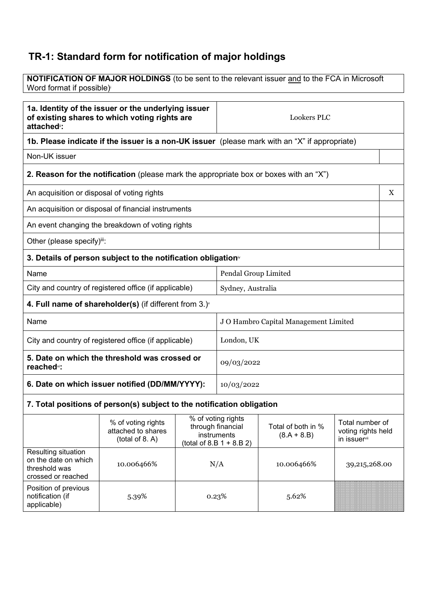## **TR-1: Standard form for notification of major holdings**

crossed or reached

Position of previous notification (if applicable)

**NOTIFICATION OF MAJOR HOLDINGS** (to be sent to the relevant issuer and to the FCA in Microsoft Word format if possible)<sup>i</sup>

| 1a. Identity of the issuer or the underlying issuer<br>of existing shares to which voting rights are<br>attached <sup>®</sup> : |                                                                                               | <b>Lookers PLC</b>                    |                                                                                       |                                     |                                                                   |   |
|---------------------------------------------------------------------------------------------------------------------------------|-----------------------------------------------------------------------------------------------|---------------------------------------|---------------------------------------------------------------------------------------|-------------------------------------|-------------------------------------------------------------------|---|
|                                                                                                                                 | 1b. Please indicate if the issuer is a non-UK issuer (please mark with an "X" if appropriate) |                                       |                                                                                       |                                     |                                                                   |   |
| Non-UK issuer                                                                                                                   |                                                                                               |                                       |                                                                                       |                                     |                                                                   |   |
|                                                                                                                                 | 2. Reason for the notification (please mark the appropriate box or boxes with an "X")         |                                       |                                                                                       |                                     |                                                                   |   |
| An acquisition or disposal of voting rights                                                                                     |                                                                                               |                                       |                                                                                       |                                     |                                                                   | X |
|                                                                                                                                 | An acquisition or disposal of financial instruments                                           |                                       |                                                                                       |                                     |                                                                   |   |
|                                                                                                                                 | An event changing the breakdown of voting rights                                              |                                       |                                                                                       |                                     |                                                                   |   |
| Other (please specify)iii:                                                                                                      |                                                                                               |                                       |                                                                                       |                                     |                                                                   |   |
| 3. Details of person subject to the notification obligation <sup>®</sup>                                                        |                                                                                               |                                       |                                                                                       |                                     |                                                                   |   |
| Name                                                                                                                            |                                                                                               |                                       | Pendal Group Limited                                                                  |                                     |                                                                   |   |
| City and country of registered office (if applicable)                                                                           |                                                                                               | Sydney, Australia                     |                                                                                       |                                     |                                                                   |   |
| 4. Full name of shareholder(s) (if different from $3.$ ) $\sqrt{ }$                                                             |                                                                                               |                                       |                                                                                       |                                     |                                                                   |   |
| Name                                                                                                                            |                                                                                               | J O Hambro Capital Management Limited |                                                                                       |                                     |                                                                   |   |
| City and country of registered office (if applicable)                                                                           |                                                                                               |                                       | London, UK                                                                            |                                     |                                                                   |   |
| 5. Date on which the threshold was crossed or<br>reached <sup>vi</sup> :                                                        |                                                                                               |                                       | 09/03/2022                                                                            |                                     |                                                                   |   |
| 6. Date on which issuer notified (DD/MM/YYYY):                                                                                  |                                                                                               | 10/03/2022                            |                                                                                       |                                     |                                                                   |   |
| 7. Total positions of person(s) subject to the notification obligation                                                          |                                                                                               |                                       |                                                                                       |                                     |                                                                   |   |
|                                                                                                                                 | % of voting rights<br>attached to shares<br>$($ total of 8. A $)$                             |                                       | % of voting rights<br>through financial<br>instruments<br>(total of 8.B $1 + 8.B 2$ ) | Total of both in %<br>$(8.A + 8.B)$ | Total number of<br>voting rights held<br>in issuer <sup>vii</sup> |   |
| Resulting situation<br>on the date on which<br>threshold was                                                                    | 10.006466%                                                                                    |                                       | N/A                                                                                   | 10.006466%                          | 39,215,268.00                                                     |   |

5.39% 0.23% 5.62%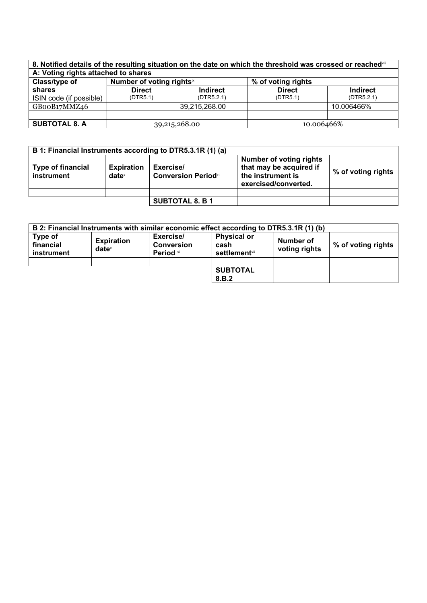| 8. Notified details of the resulting situation on the date on which the threshold was crossed or reached in |                           |                 |                    |                 |
|-------------------------------------------------------------------------------------------------------------|---------------------------|-----------------|--------------------|-----------------|
| A: Voting rights attached to shares                                                                         |                           |                 |                    |                 |
| Class/type of                                                                                               | Number of voting rightsix |                 | % of voting rights |                 |
| shares                                                                                                      | <b>Direct</b>             | <b>Indirect</b> | <b>Direct</b>      | <b>Indirect</b> |
| ISIN code (if possible)                                                                                     | (DTR5.1)                  | (DTR5.2.1)      | (DTR5.1)           | (DTR5.2.1)      |
| GBooB17MMZ46                                                                                                |                           | 39,215,268.00   |                    | 10.006466%      |
|                                                                                                             |                           |                 |                    |                 |
| <b>SUBTOTAL 8. A</b>                                                                                        | 39,215,268.00             |                 | 10.006466%         |                 |

|                                 |                                        | B 1: Financial Instruments according to DTR5.3.1R (1) (a) |                                                                                                        |                    |
|---------------------------------|----------------------------------------|-----------------------------------------------------------|--------------------------------------------------------------------------------------------------------|--------------------|
| Type of financial<br>instrument | <b>Expiration</b><br>date <sup>x</sup> | Exercise/<br><b>Conversion Periodxi</b>                   | <b>Number of voting rights</b><br>that may be acquired if<br>the instrument is<br>exercised/converted. | % of voting rights |
|                                 |                                        |                                                           |                                                                                                        |                    |
|                                 |                                        | <b>SUBTOTAL 8. B 1</b>                                    |                                                                                                        |                    |

|                                    |                                      |                                                               | B 2: Financial Instruments with similar economic effect according to DTR5.3.1R (1) (b) |                            |                    |
|------------------------------------|--------------------------------------|---------------------------------------------------------------|----------------------------------------------------------------------------------------|----------------------------|--------------------|
| Type of<br>financial<br>instrument | <b>Expiration</b><br>$date^{\times}$ | Exercise/<br><b>Conversion</b><br><b>Period</b> <sup>xi</sup> | <b>Physical or</b><br>cash<br>settlement <sup>x⊪</sup>                                 | Number of<br>voting rights | % of voting rights |
|                                    |                                      |                                                               |                                                                                        |                            |                    |
|                                    |                                      |                                                               | <b>SUBTOTAL</b><br>8.B.2                                                               |                            |                    |